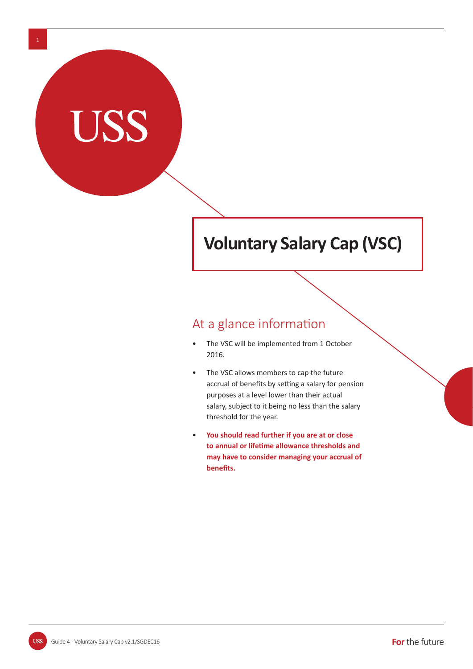# **Voluntary Salary Cap (VSC)**

# At a glance information

- The VSC will be implemented from 1 October 2016.
- The VSC allows members to cap the future accrual of benefits by setting a salary for pension purposes at a level lower than their actual salary, subject to it being no less than the salary threshold for the year.
- • **You should read further if you are at or close to annual or lifeƟ me allowance thresholds and may have to consider managing your accrual of benefits.**

**USS**